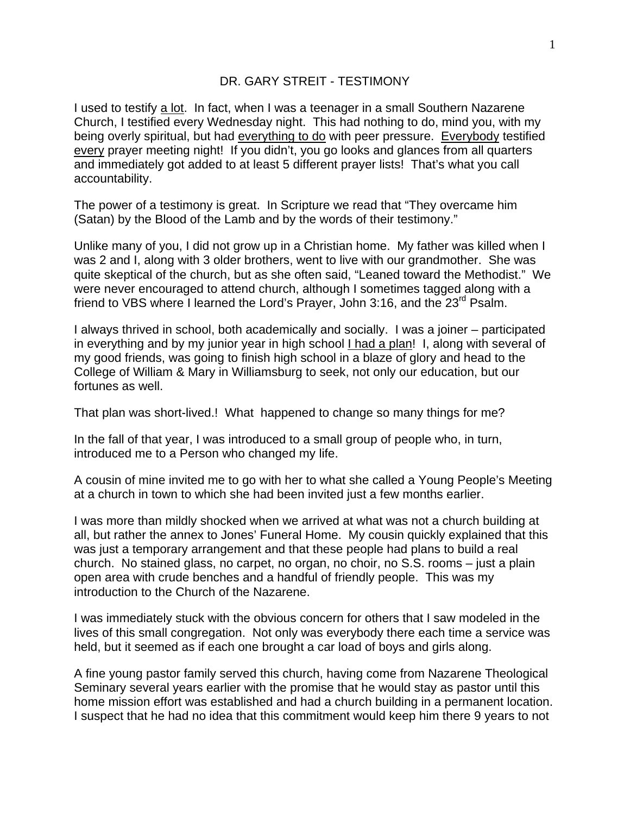## DR. GARY STREIT - TESTIMONY

I used to testify a lot. In fact, when I was a teenager in a small Southern Nazarene Church, I testified every Wednesday night. This had nothing to do, mind you, with my being overly spiritual, but had everything to do with peer pressure. Everybody testified every prayer meeting night! If you didn't, you go looks and glances from all quarters and immediately got added to at least 5 different prayer lists! That's what you call accountability.

The power of a testimony is great. In Scripture we read that "They overcame him (Satan) by the Blood of the Lamb and by the words of their testimony."

Unlike many of you, I did not grow up in a Christian home. My father was killed when I was 2 and I, along with 3 older brothers, went to live with our grandmother. She was quite skeptical of the church, but as she often said, "Leaned toward the Methodist." We were never encouraged to attend church, although I sometimes tagged along with a friend to VBS where I learned the Lord's Prayer, John 3:16, and the  $23<sup>rd</sup>$  Psalm.

I always thrived in school, both academically and socially. I was a joiner – participated in everything and by my junior year in high school I had a plan! I, along with several of my good friends, was going to finish high school in a blaze of glory and head to the College of William & Mary in Williamsburg to seek, not only our education, but our fortunes as well.

That plan was short-lived.! What happened to change so many things for me?

In the fall of that year, I was introduced to a small group of people who, in turn, introduced me to a Person who changed my life.

A cousin of mine invited me to go with her to what she called a Young People's Meeting at a church in town to which she had been invited just a few months earlier.

I was more than mildly shocked when we arrived at what was not a church building at all, but rather the annex to Jones' Funeral Home. My cousin quickly explained that this was just a temporary arrangement and that these people had plans to build a real church. No stained glass, no carpet, no organ, no choir, no S.S. rooms – just a plain open area with crude benches and a handful of friendly people. This was my introduction to the Church of the Nazarene.

I was immediately stuck with the obvious concern for others that I saw modeled in the lives of this small congregation. Not only was everybody there each time a service was held, but it seemed as if each one brought a car load of boys and girls along.

A fine young pastor family served this church, having come from Nazarene Theological Seminary several years earlier with the promise that he would stay as pastor until this home mission effort was established and had a church building in a permanent location. I suspect that he had no idea that this commitment would keep him there 9 years to not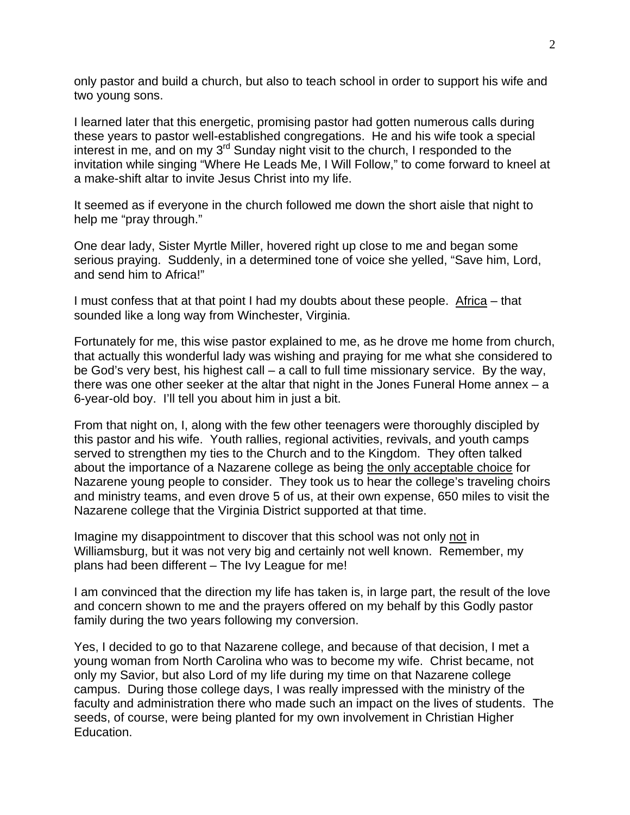only pastor and build a church, but also to teach school in order to support his wife and two young sons.

I learned later that this energetic, promising pastor had gotten numerous calls during these years to pastor well-established congregations. He and his wife took a special interest in me, and on my 3rd Sunday night visit to the church, I responded to the invitation while singing "Where He Leads Me, I Will Follow," to come forward to kneel at a make-shift altar to invite Jesus Christ into my life.

It seemed as if everyone in the church followed me down the short aisle that night to help me "pray through."

One dear lady, Sister Myrtle Miller, hovered right up close to me and began some serious praying. Suddenly, in a determined tone of voice she yelled, "Save him, Lord, and send him to Africa!"

I must confess that at that point I had my doubts about these people. Africa – that sounded like a long way from Winchester, Virginia.

Fortunately for me, this wise pastor explained to me, as he drove me home from church, that actually this wonderful lady was wishing and praying for me what she considered to be God's very best, his highest call – a call to full time missionary service. By the way, there was one other seeker at the altar that night in the Jones Funeral Home annex  $-$  a 6-year-old boy. I'll tell you about him in just a bit.

From that night on, I, along with the few other teenagers were thoroughly discipled by this pastor and his wife. Youth rallies, regional activities, revivals, and youth camps served to strengthen my ties to the Church and to the Kingdom. They often talked about the importance of a Nazarene college as being the only acceptable choice for Nazarene young people to consider. They took us to hear the college's traveling choirs and ministry teams, and even drove 5 of us, at their own expense, 650 miles to visit the Nazarene college that the Virginia District supported at that time.

Imagine my disappointment to discover that this school was not only not in Williamsburg, but it was not very big and certainly not well known. Remember, my plans had been different – The Ivy League for me!

I am convinced that the direction my life has taken is, in large part, the result of the love and concern shown to me and the prayers offered on my behalf by this Godly pastor family during the two years following my conversion.

Yes, I decided to go to that Nazarene college, and because of that decision, I met a young woman from North Carolina who was to become my wife. Christ became, not only my Savior, but also Lord of my life during my time on that Nazarene college campus. During those college days, I was really impressed with the ministry of the faculty and administration there who made such an impact on the lives of students. The seeds, of course, were being planted for my own involvement in Christian Higher Education.